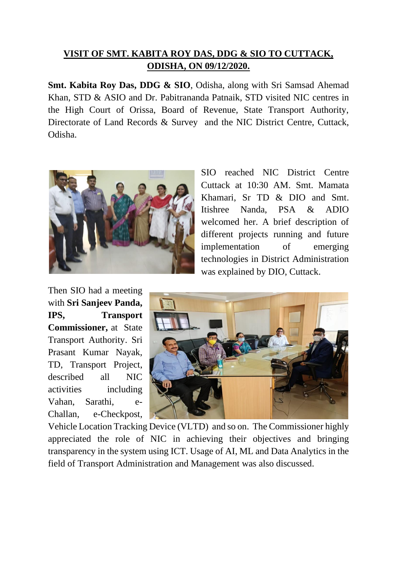## **VISIT OF SMT. KABITA ROY DAS, DDG & SIO TO CUTTACK, ODISHA, ON 09/12/2020.**

**Smt. Kabita Roy Das, DDG & SIO**, Odisha, along with Sri Samsad Ahemad Khan, STD & ASIO and Dr. Pabitrananda Patnaik, STD visited NIC centres in the High Court of Orissa, Board of Revenue, State Transport Authority, Directorate of Land Records & Survey and the NIC District Centre, Cuttack, Odisha.



SIO reached NIC District Centre Cuttack at 10:30 AM. Smt. Mamata Khamari, Sr TD & DIO and Smt. Itishree Nanda, PSA & ADIO welcomed her. A brief description of different projects running and future implementation of emerging technologies in District Administration was explained by DIO, Cuttack.

Then SIO had a meeting with **Sri Sanjeev Panda, IPS, Transport Commissioner,** at State Transport Authority. Sri Prasant Kumar Nayak, TD, Transport Project, described all NIC activities including Vahan, Sarathi, e-Challan, e-Checkpost,



Vehicle Location Tracking Device (VLTD) and so on. The Commissioner highly appreciated the role of NIC in achieving their objectives and bringing transparency in the system using ICT. Usage of AI, ML and Data Analytics in the field of Transport Administration and Management was also discussed.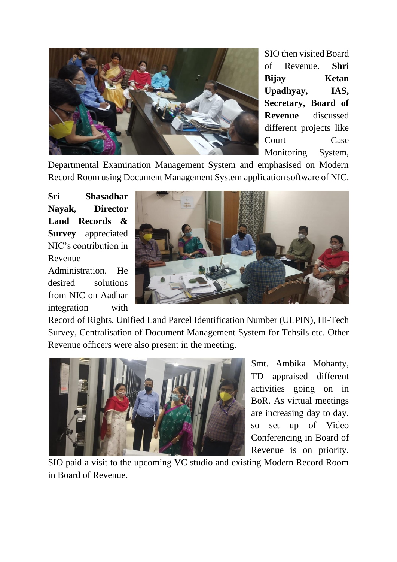

SIO then visited Board of Revenue. **Shri Bijay Ketan Upadhyay, IAS, Secretary, Board of Revenue** discussed different projects like Court Case Monitoring System,

Departmental Examination Management System and emphasised on Modern Record Room using Document Management System application software of NIC.

**Sri Shasadhar Nayak, Director Land Records & Survey** appreciated NIC's contribution in Revenue

Administration. He desired solutions from NIC on Aadhar integration with



Record of Rights, Unified Land Parcel Identification Number (ULPIN), Hi-Tech Survey, Centralisation of Document Management System for Tehsils etc. Other Revenue officers were also present in the meeting.



Smt. Ambika Mohanty, TD appraised different activities going on in BoR. As virtual meetings are increasing day to day, so set up of Video Conferencing in Board of Revenue is on priority.

SIO paid a visit to the upcoming VC studio and existing Modern Record Room in Board of Revenue.